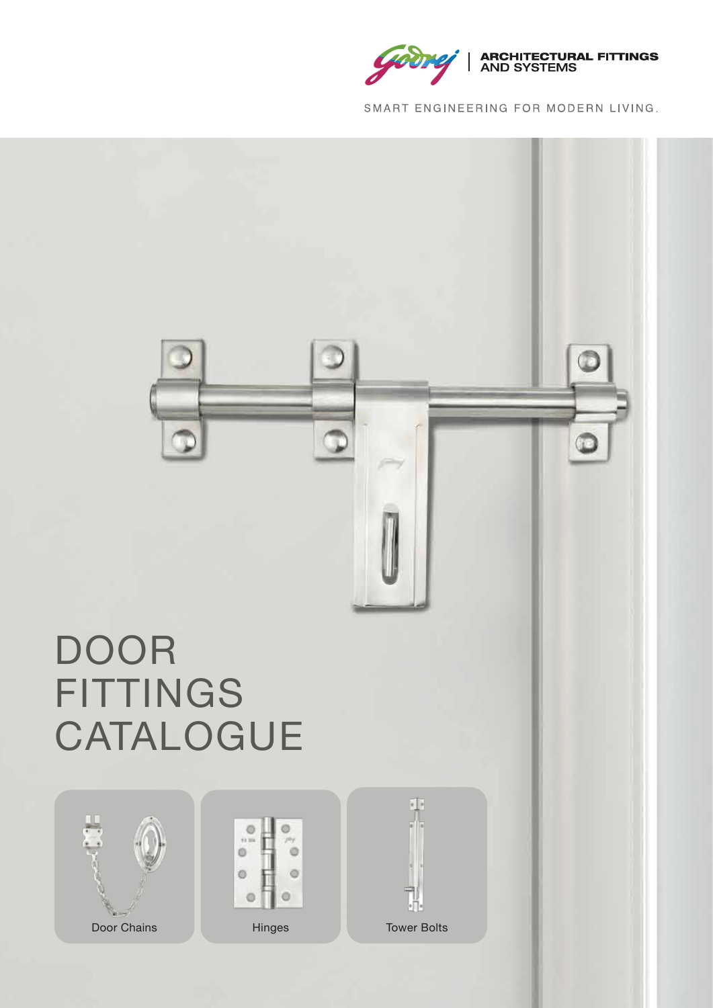

SMART ENGINEERING FOR MODERN LIVING.

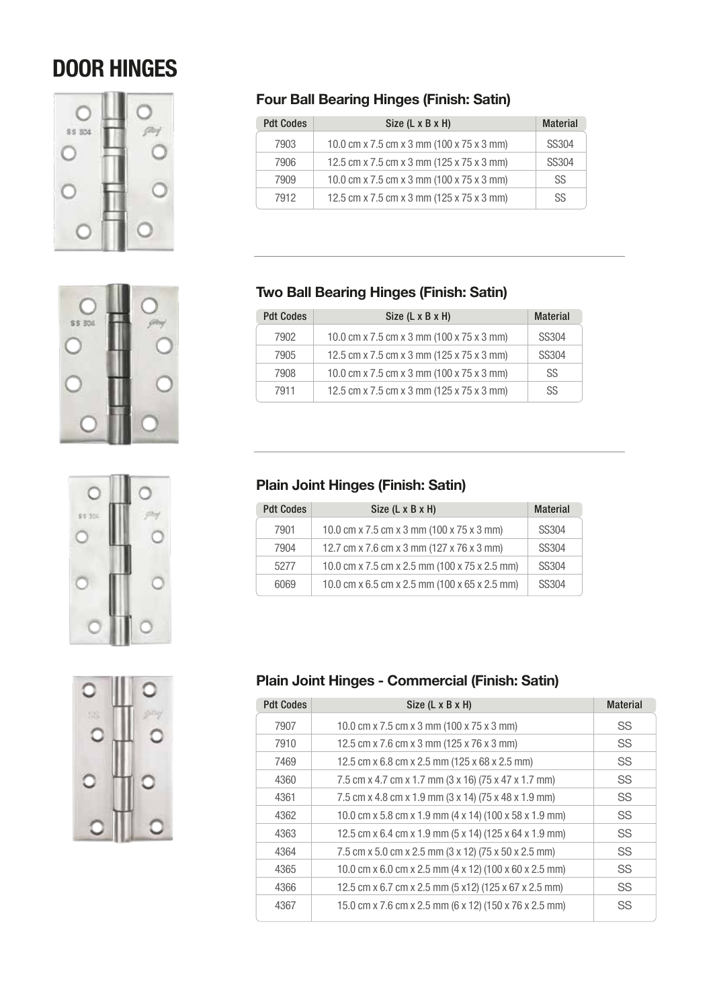# DOOR HINGES









#### **Four Ball Bearing Hinges (Finish: Satin)**

| <b>Pdt Codes</b> | Size (L x B x H)                          | <b>Material</b> |
|------------------|-------------------------------------------|-----------------|
| 7903             | 10.0 cm x 7.5 cm x 3 mm (100 x 75 x 3 mm) | <b>SS304</b>    |
| 7906             | 12.5 cm x 7.5 cm x 3 mm (125 x 75 x 3 mm) | <b>SS304</b>    |
| 7909             | 10.0 cm x 7.5 cm x 3 mm (100 x 75 x 3 mm) | SS              |
| 7912             | 12.5 cm x 7.5 cm x 3 mm (125 x 75 x 3 mm) | SS              |

#### **Two Ball Bearing Hinges (Finish: Satin)**

| <b>Pdt Codes</b> | Size (L x B x H)                          | <b>Material</b> |
|------------------|-------------------------------------------|-----------------|
| 7902             | 10.0 cm x 7.5 cm x 3 mm (100 x 75 x 3 mm) | <b>SS304</b>    |
| 7905             | 12.5 cm x 7.5 cm x 3 mm (125 x 75 x 3 mm) | <b>SS304</b>    |
| 7908             | 10.0 cm x 7.5 cm x 3 mm (100 x 75 x 3 mm) | SS              |
| 7911             | 12.5 cm x 7.5 cm x 3 mm (125 x 75 x 3 mm) | SS              |

## **Plain Joint Hinges (Finish: Satin)**

| <b>Pdt Codes</b> | Size (L x B x H)                              | <b>Material</b> |
|------------------|-----------------------------------------------|-----------------|
| 7901             | 10.0 cm x 7.5 cm x 3 mm (100 x 75 x 3 mm)     | SS304           |
| 7904             | 12.7 cm x 7.6 cm x 3 mm (127 x 76 x 3 mm)     | SS304           |
| 5277             | 10.0 cm x 7.5 cm x 2.5 mm (100 x 75 x 2.5 mm) | SS304           |
| 6069             | 10.0 cm x 6.5 cm x 2.5 mm (100 x 65 x 2.5 mm) | SS304           |

## **Plain Joint Hinges - Commercial (Finish: Satin)**

| <b>Pdt Codes</b> | Size (L x B x H)                                       | <b>Material</b> |
|------------------|--------------------------------------------------------|-----------------|
| 7907             | 10.0 cm x 7.5 cm x 3 mm (100 x 75 x 3 mm)              | SS.             |
| 7910             | 12.5 cm x 7.6 cm x 3 mm (125 x 76 x 3 mm)              | SS              |
| 7469             | 12.5 cm x 6.8 cm x 2.5 mm (125 x 68 x 2.5 mm)          | <b>SS</b>       |
| 4360             | 7.5 cm x 4.7 cm x 1.7 mm (3 x 16) (75 x 47 x 1.7 mm)   | <b>SS</b>       |
| 4361             | 7.5 cm x 4.8 cm x 1.9 mm (3 x 14) (75 x 48 x 1.9 mm)   | SS              |
| 4362             | 10.0 cm x 5.8 cm x 1.9 mm (4 x 14) (100 x 58 x 1.9 mm) | <b>SS</b>       |
| 4363             | 12.5 cm x 6.4 cm x 1.9 mm (5 x 14) (125 x 64 x 1.9 mm) | <b>SS</b>       |
| 4364             | 7.5 cm x 5.0 cm x 2.5 mm (3 x 12) (75 x 50 x 2.5 mm)   | SS              |
| 4365             | 10.0 cm x 6.0 cm x 2.5 mm (4 x 12) (100 x 60 x 2.5 mm) | SS              |
| 4366             | 12.5 cm x 6.7 cm x 2.5 mm (5 x12) (125 x 67 x 2.5 mm)  | <b>SS</b>       |
| 4367             | 15.0 cm x 7.6 cm x 2.5 mm (6 x 12) (150 x 76 x 2.5 mm) | SS              |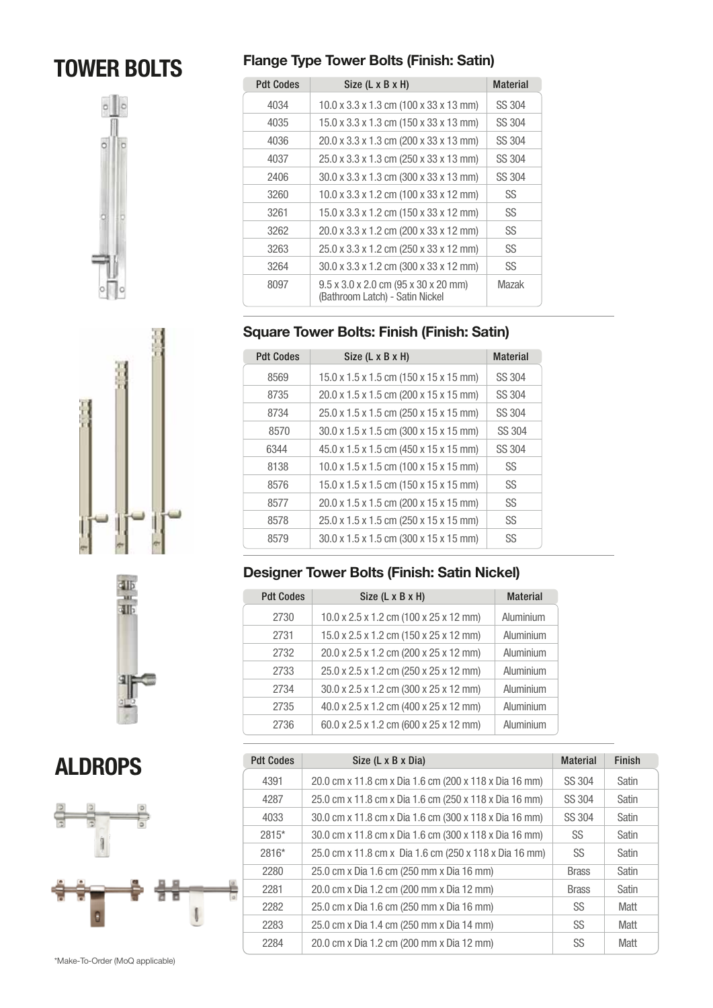# TOWER BOLTS









ALDROPS



## **Flange Type Tower Bolts (Finish: Satin)**

| <b>Pdt Codes</b> | Size (L x B x H)                                                        | <b>Material</b> |
|------------------|-------------------------------------------------------------------------|-----------------|
| 4034             | $10.0 \times 3.3 \times 1.3$ cm (100 x 33 x 13 mm)                      | SS 304          |
| 4035             | 15.0 x 3.3 x 1.3 cm (150 x 33 x 13 mm)                                  | SS 304          |
| 4036             | 20.0 x 3.3 x 1.3 cm (200 x 33 x 13 mm)                                  | SS 304          |
| 4037             | 25.0 x 3.3 x 1.3 cm (250 x 33 x 13 mm)                                  | SS 304          |
| 2406             | 30.0 x 3.3 x 1.3 cm (300 x 33 x 13 mm)                                  | SS 304          |
| 3260             | 10.0 x 3.3 x 1.2 cm (100 x 33 x 12 mm)                                  | SS              |
| 3261             | 15.0 x 3.3 x 1.2 cm (150 x 33 x 12 mm)                                  | SS              |
| 3262             | 20.0 x 3.3 x 1.2 cm (200 x 33 x 12 mm)                                  | SS              |
| 3263             | 25.0 x 3.3 x 1.2 cm (250 x 33 x 12 mm)                                  | SS              |
| 3264             | 30.0 x 3.3 x 1.2 cm (300 x 33 x 12 mm)                                  | SS              |
| 8097             | 9.5 x 3.0 x 2.0 cm (95 x 30 x 20 mm)<br>(Bathroom Latch) - Satin Nickel | Mazak           |

## **Square Tower Bolts: Finish (Finish: Satin)**

| <b>Pdt Codes</b> | Size (L x B x H)                                   | <b>Material</b> |
|------------------|----------------------------------------------------|-----------------|
| 8569             | 15.0 x 1.5 x 1.5 cm (150 x 15 x 15 mm)             | SS 304          |
| 8735             | 20.0 x 1.5 x 1.5 cm (200 x 15 x 15 mm)             | SS 304          |
| 8734             | 25.0 x 1.5 x 1.5 cm (250 x 15 x 15 mm)             | SS 304          |
| 8570             | 30.0 x 1.5 x 1.5 cm (300 x 15 x 15 mm)             | SS 304          |
| 6344             | 45.0 x 1.5 x 1.5 cm (450 x 15 x 15 mm)             | SS 304          |
| 8138             | $10.0 \times 1.5 \times 1.5$ cm (100 x 15 x 15 mm) | SS              |
| 8576             | 15.0 x 1.5 x 1.5 cm (150 x 15 x 15 mm)             | SS              |
| 8577             | 20.0 x 1.5 x 1.5 cm (200 x 15 x 15 mm)             | SS              |
| 8578             | 25.0 x 1.5 x 1.5 cm (250 x 15 x 15 mm)             | SS              |
| 8579             | 30.0 x 1.5 x 1.5 cm (300 x 15 x 15 mm)             | SS              |

## **Designer Tower Bolts (Finish: Satin Nickel)**

| <b>Pdt Codes</b> | Size (L x B x H)                       | <b>Material</b> |
|------------------|----------------------------------------|-----------------|
| 2730             | 10.0 x 2.5 x 1.2 cm (100 x 25 x 12 mm) | Aluminium       |
| 2731             | 15.0 x 2.5 x 1.2 cm (150 x 25 x 12 mm) | Aluminium       |
| 2732             | 20.0 x 2.5 x 1.2 cm (200 x 25 x 12 mm) | Aluminium       |
| 2733             | 25.0 x 2.5 x 1.2 cm (250 x 25 x 12 mm) | Aluminium       |
| 2734             | 30.0 x 2.5 x 1.2 cm (300 x 25 x 12 mm) | Aluminium       |
| 2735             | 40.0 x 2.5 x 1.2 cm (400 x 25 x 12 mm) | Aluminium       |
| 2736             | 60.0 x 2.5 x 1.2 cm (600 x 25 x 12 mm) | Aluminium       |

| <b>Pdt Codes</b> | Size (L x B x Dia)                                     | <b>Material</b> | <b>Finish</b> |
|------------------|--------------------------------------------------------|-----------------|---------------|
| 4391             | 20.0 cm x 11.8 cm x Dia 1.6 cm (200 x 118 x Dia 16 mm) | SS 304          | Satin         |
| 4287             | 25.0 cm x 11.8 cm x Dia 1.6 cm (250 x 118 x Dia 16 mm) | SS 304          | Satin         |
| 4033             | 30.0 cm x 11.8 cm x Dia 1.6 cm (300 x 118 x Dia 16 mm) | SS 304          | Satin         |
| 2815*            | 30.0 cm x 11.8 cm x Dia 1.6 cm (300 x 118 x Dia 16 mm) | SS              | Satin         |
| 2816*            | 25.0 cm x 11.8 cm x Dia 1.6 cm (250 x 118 x Dia 16 mm) | SS              | Satin         |
| 2280             | 25.0 cm x Dia 1.6 cm (250 mm x Dia 16 mm)              | <b>Brass</b>    | Satin         |
| 2281             | 20.0 cm x Dia 1.2 cm (200 mm x Dia 12 mm)              | <b>Brass</b>    | Satin         |
| 2282             | 25.0 cm x Dia 1.6 cm (250 mm x Dia 16 mm)              | SS              | Matt          |
| 2283             | 25.0 cm x Dia 1.4 cm (250 mm x Dia 14 mm)              | SS              | Matt          |
| 2284             | 20.0 cm x Dia 1.2 cm (200 mm x Dia 12 mm)              | SS              | Matt          |